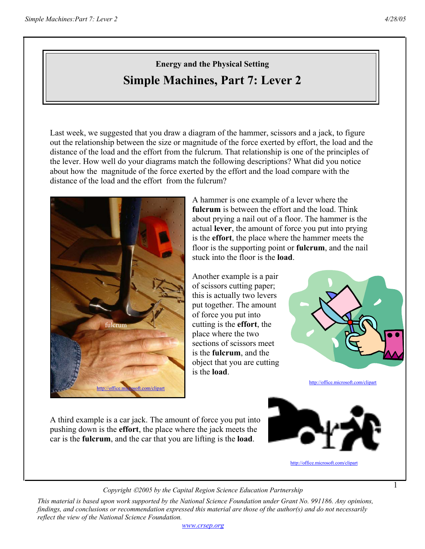## **Energy and the Physical Setting Simple Machines, Part 7: Lever 2**

Last week, we suggested that you draw a diagram of the hammer, scissors and a jack, to figure out the relationship between the size or magnitude of the force exerted by effort, the load and the distance of the load and the effort from the fulcrum. That relationship is one of the principles of the lever. How well do your diagrams match the following descriptions? What did you notice about how the magnitude of the force exerted by the effort and the load compare with the distance of the load and the effort from the fulcrum?



A hammer is one example of a lever where the **fulcrum** is between the effort and the load. Think about prying a nail out of a floor. The hammer is the actual **lever**, the amount of force you put into prying is the **effort**, the place where the hammer meets the floor is the supporting point or **fulcrum**, and the nail stuck into the floor is the **load**.

Another example is a pair of scissors cutting paper; this is actually two levers put together. The amount of force you put into cutting is the **effort**, the place where the two sections of scissors meet is the **fulcrum**, and the object that you are cutting is the **load**.



http://office.microsoft.com/clipart

1

A third example is a car jack. The amount of force you put into pushing down is the **effort**, the place where the jack meets the car is the **fulcrum**, and the car that you are lifting is the **load**.



http://office.microsoft.com/clipart

*Copyright 2005 by the Capital Region Science Education Partnership*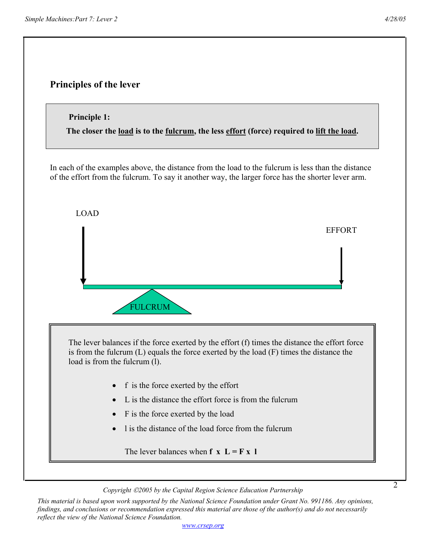

*Copyright 2005 by the Capital Region Science Education Partnership*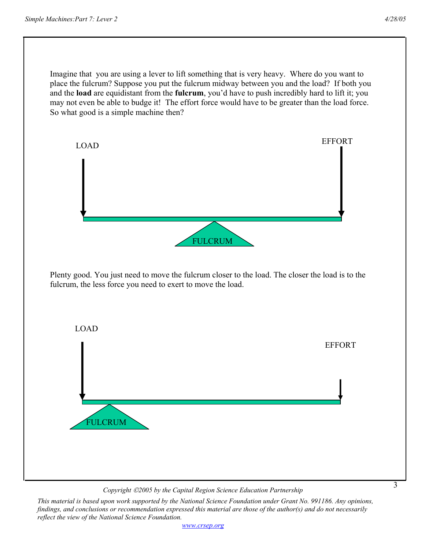3

Imagine that you are using a lever to lift something that is very heavy. Where do you want to place the fulcrum? Suppose you put the fulcrum midway between you and the load? If both you and the **load** are equidistant from the **fulcrum**, you'd have to push incredibly hard to lift it; you may not even be able to budge it! The effort force would have to be greater than the load force. So what good is a simple machine then?



*Copyright 2005 by the Capital Region Science Education Partnership*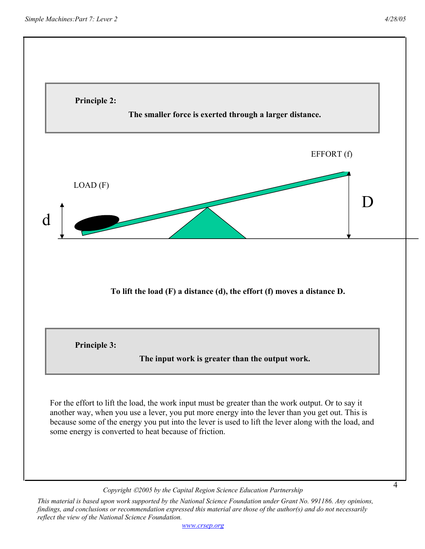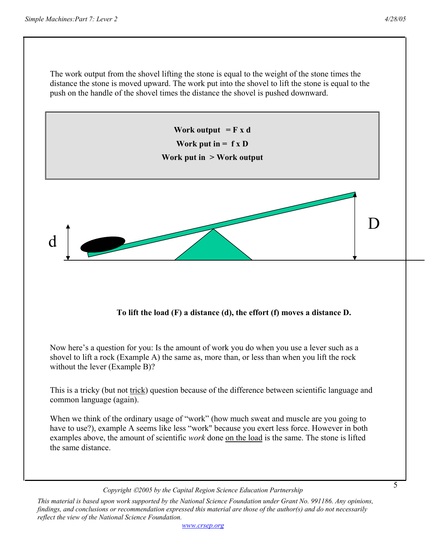The work output from the shovel lifting the stone is equal to the weight of the stone times the distance the stone is moved upward. The work put into the shovel to lift the stone is equal to the push on the handle of the shovel times the distance the shovel is pushed downward.